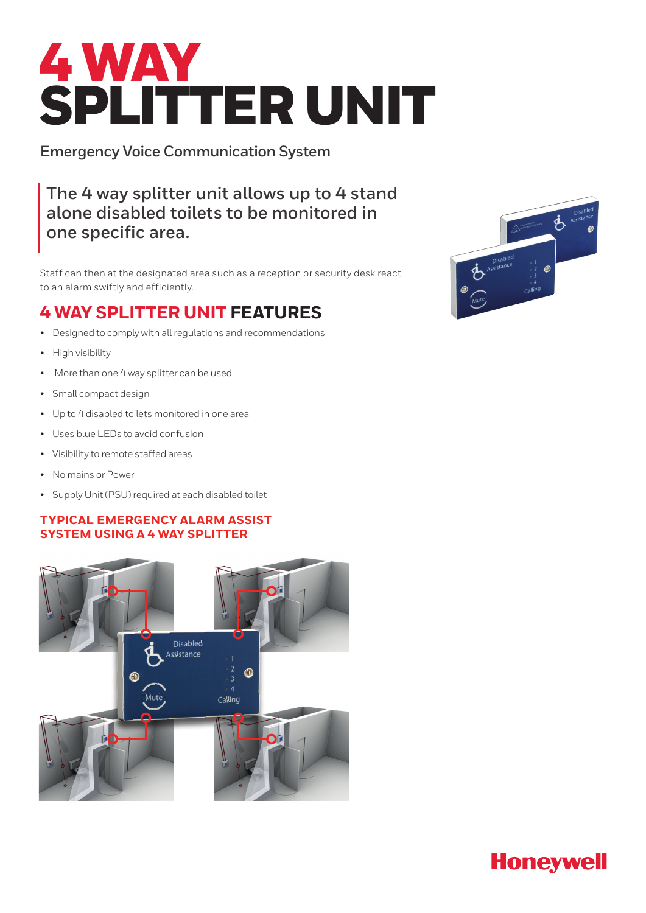# 4 WAY SPLITTER UNIT

**Emergency Voice Communication System** 

**The 4 way splitter unit allows up to 4 stand alone disabled toilets to be monitored in one specific area.** 

Staff can then at the designated area such as a reception or security desk react to an alarm swiftly and efficiently.

## **4 WAY SPLITTER UNIT FEATURES**

- Designed to comply with all regulations and recommendations
- High visibility
- More than one 4 way splitter can be used
- Small compact design
- Up to 4 disabled toilets monitored in one area
- Uses blue LEDs to avoid confusion
- Visibility to remote staffed areas
- No mains or Power
- Supply Unit (PSU) required at each disabled toilet

### **TYPICAL EMERGENCY ALARM ASSIST SYSTEM USING A 4 WAY SPLITTER**





# **Honeywell**